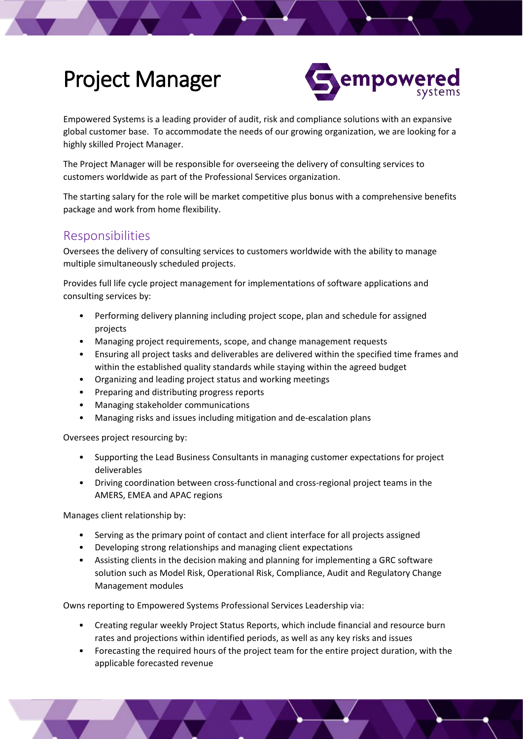## Project Manager



Empowered Systems is a leading provider of audit, risk and compliance solutions with an expansive global customer base. To accommodate the needs of our growing organization, we are looking for a highly skilled Project Manager.

The Project Manager will be responsible for overseeing the delivery of consulting services to customers worldwide as part of the Professional Services organization.

The starting salary for the role will be market competitive plus bonus with a comprehensive benefits package and work from home flexibility.

## Responsibilities

Oversees the delivery of consulting services to customers worldwide with the ability to manage multiple simultaneously scheduled projects.

Provides full life cycle project management for implementations of software applications and consulting services by:

- Performing delivery planning including project scope, plan and schedule for assigned projects
- Managing project requirements, scope, and change management requests
- Ensuring all project tasks and deliverables are delivered within the specified time frames and within the established quality standards while staying within the agreed budget
- Organizing and leading project status and working meetings
- Preparing and distributing progress reports
- Managing stakeholder communications
- Managing risks and issues including mitigation and de-escalation plans

Oversees project resourcing by:

- Supporting the Lead Business Consultants in managing customer expectations for project deliverables
- Driving coordination between cross-functional and cross-regional project teams in the AMERS, EMEA and APAC regions

Manages client relationship by:

- Serving as the primary point of contact and client interface for all projects assigned
- Developing strong relationships and managing client expectations
- Assisting clients in the decision making and planning for implementing a GRC software solution such as Model Risk, Operational Risk, Compliance, Audit and Regulatory Change Management modules

Owns reporting to Empowered Systems Professional Services Leadership via:

- Creating regular weekly Project Status Reports, which include financial and resource burn rates and projections within identified periods, as well as any key risks and issues
- Forecasting the required hours of the project team for the entire project duration, with the applicable forecasted revenue